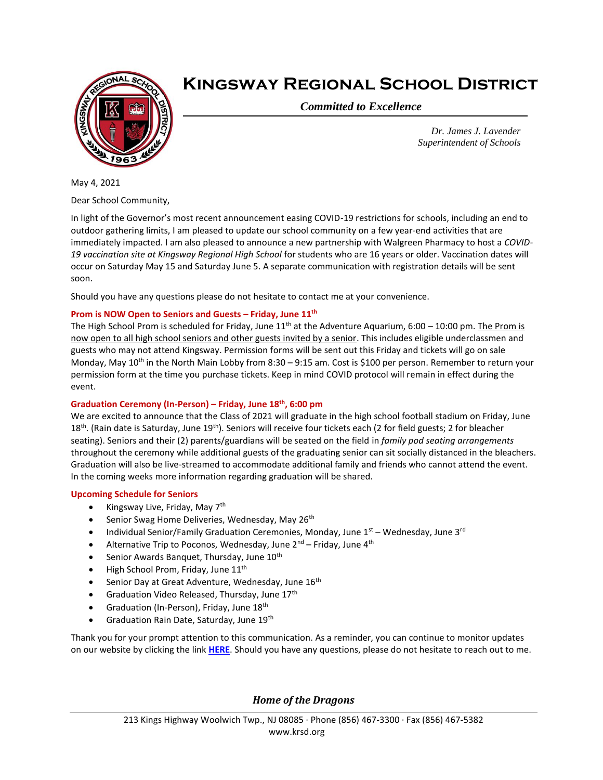

## **Kingsway Regional School District**

*Committed to Excellence*

*Dr. James J. Lavender Superintendent of Schools*

May 4, 2021

Dear School Community,

In light of the Governor's most recent announcement easing COVID-19 restrictions for schools, including an end to outdoor gathering limits, I am pleased to update our school community on a few year-end activities that are immediately impacted. I am also pleased to announce a new partnership with Walgreen Pharmacy to host a *COVID-19 vaccination site at Kingsway Regional High School* for students who are 16 years or older. Vaccination dates will occur on Saturday May 15 and Saturday June 5. A separate communication with registration details will be sent soon.

Should you have any questions please do not hesitate to contact me at your convenience.

## **Prom is NOW Open to Seniors and Guests – Friday, June 11th**

The High School Prom is scheduled for Friday, June  $11<sup>th</sup>$  at the Adventure Aquarium, 6:00 – 10:00 pm. The Prom is now open to all high school seniors and other guests invited by a senior. This includes eligible underclassmen and guests who may not attend Kingsway. Permission forms will be sent out this Friday and tickets will go on sale Monday, May 10<sup>th</sup> in the North Main Lobby from 8:30 - 9:15 am. Cost is \$100 per person. Remember to return your permission form at the time you purchase tickets. Keep in mind COVID protocol will remain in effect during the event.

## **Graduation Ceremony (In-Person) – Friday, June 18th, 6:00 pm**

We are excited to announce that the Class of 2021 will graduate in the high school football stadium on Friday, June 18<sup>th</sup>. (Rain date is Saturday, June 19<sup>th</sup>). Seniors will receive four tickets each (2 for field guests; 2 for bleacher seating). Seniors and their (2) parents/guardians will be seated on the field in *family pod seating arrangements* throughout the ceremony while additional guests of the graduating senior can sit socially distanced in the bleachers. Graduation will also be live-streamed to accommodate additional family and friends who cannot attend the event. In the coming weeks more information regarding graduation will be shared.

## **Upcoming Schedule for Seniors**

- Kingsway Live, Friday, May 7th
- Senior Swag Home Deliveries, Wednesday, May 26<sup>th</sup>
- Individual Senior/Family Graduation Ceremonies, Monday, June  $1<sup>st</sup>$  Wednesday, June  $3<sup>rd</sup>$
- Alternative Trip to Poconos, Wednesday, June  $2^{nd}$  Friday, June  $4^{th}$
- Senior Awards Banquet, Thursday, June 10<sup>th</sup>
- $\bullet$  High School Prom, Friday, June 11<sup>th</sup>
- **•** Senior Day at Great Adventure, Wednesday, June  $16<sup>th</sup>$
- Graduation Video Released, Thursday, June 17th
- Graduation (In-Person), Friday, June 18th
- Graduation Rain Date, Saturday, June 19th

Thank you for your prompt attention to this communication. As a reminder, you can continue to monitor updates on our website by clicking the link **[HERE](https://www.krsd.org/Page/1680)**. Should you have any questions, please do not hesitate to reach out to me.

*Home of the Dragons*